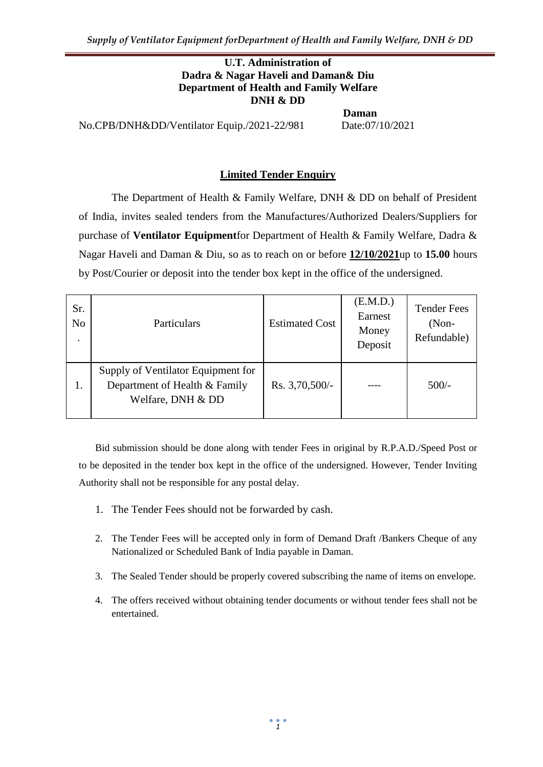#### **U.T. Administration of Dadra & Nagar Haveli and Daman& Diu Department of Health and Family Welfare DNH & DD**

No.CPB/DNH&DD/Ventilator Equip./2021-22/981 Date:07/10/2021

**Daman**

### **Limited Tender Enquiry**

The Department of Health & Family Welfare, DNH & DD on behalf of President of India, invites sealed tenders from the Manufactures/Authorized Dealers/Suppliers for purchase of **Ventilator Equipment**for Department of Health & Family Welfare, Dadra & Nagar Haveli and Daman & Diu, so as to reach on or before **12/10/2021**up to **15.00** hours by Post/Courier or deposit into the tender box kept in the office of the undersigned.

| Sr.<br>N <sub>o</sub><br>$\bullet$ | Particulars                                                                              | <b>Estimated Cost</b> | (E.M.D.)<br>Earnest<br>Money<br>Deposit | <b>Tender Fees</b><br>$(Non-$<br>Refundable) |
|------------------------------------|------------------------------------------------------------------------------------------|-----------------------|-----------------------------------------|----------------------------------------------|
| 1.                                 | Supply of Ventilator Equipment for<br>Department of Health & Family<br>Welfare, DNH & DD | Rs. 3,70,500/-        |                                         | $500/-$                                      |

Bid submission should be done along with tender Fees in original by R.P.A.D./Speed Post or to be deposited in the tender box kept in the office of the undersigned. However, Tender Inviting Authority shall not be responsible for any postal delay.

- 1. The Tender Fees should not be forwarded by cash.
- 2. The Tender Fees will be accepted only in form of Demand Draft /Bankers Cheque of any Nationalized or Scheduled Bank of India payable in Daman.
- 3. The Sealed Tender should be properly covered subscribing the name of items on envelope.
- 4. The offers received without obtaining tender documents or without tender fees shall not be entertained.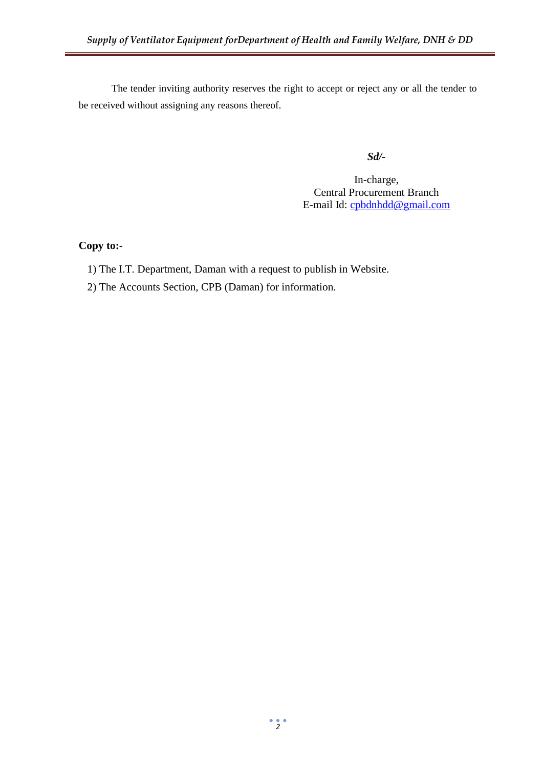The tender inviting authority reserves the right to accept or reject any or all the tender to be received without assigning any reasons thereof.

*Sd/-*

In-charge, Central Procurement Branch E-mail Id: [cpbdnhdd@gmail.com](mailto:cpbdnhdd@gmail.com)

#### **Copy to:-**

- 1) The I.T. Department, Daman with a request to publish in Website.
- 2) The Accounts Section, CPB (Daman) for information.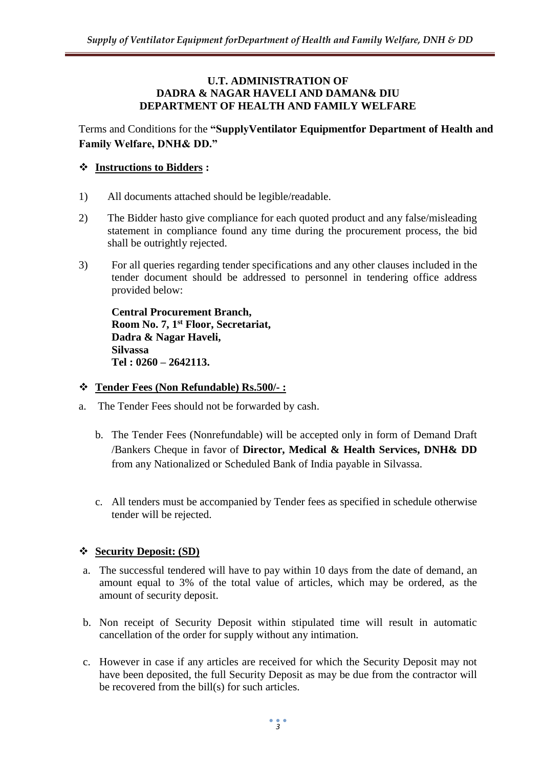#### **U.T. ADMINISTRATION OF DADRA & NAGAR HAVELI AND DAMAN& DIU DEPARTMENT OF HEALTH AND FAMILY WELFARE**

Terms and Conditions for the **"SupplyVentilator Equipmentfor Department of Health and Family Welfare, DNH& DD."**

## **Instructions to Bidders :**

- 1) All documents attached should be legible/readable.
- 2) The Bidder hasto give compliance for each quoted product and any false/misleading statement in compliance found any time during the procurement process, the bid shall be outrightly rejected.
- 3) For all queries regarding tender specifications and any other clauses included in the tender document should be addressed to personnel in tendering office address provided below:

**Central Procurement Branch, Room No. 7, 1st Floor, Secretariat, Dadra & Nagar Haveli, Silvassa Tel : 0260 – 2642113.**

## **Tender Fees (Non Refundable) Rs.500/- :**

- a. The Tender Fees should not be forwarded by cash.
	- b. The Tender Fees (Nonrefundable) will be accepted only in form of Demand Draft /Bankers Cheque in favor of **Director, Medical & Health Services, DNH& DD**  from any Nationalized or Scheduled Bank of India payable in Silvassa.
	- c. All tenders must be accompanied by Tender fees as specified in schedule otherwise tender will be rejected.

## **Security Deposit: (SD)**

- a. The successful tendered will have to pay within 10 days from the date of demand, an amount equal to 3% of the total value of articles, which may be ordered, as the amount of security deposit.
- b. Non receipt of Security Deposit within stipulated time will result in automatic cancellation of the order for supply without any intimation.
- c. However in case if any articles are received for which the Security Deposit may not have been deposited, the full Security Deposit as may be due from the contractor will be recovered from the bill(s) for such articles.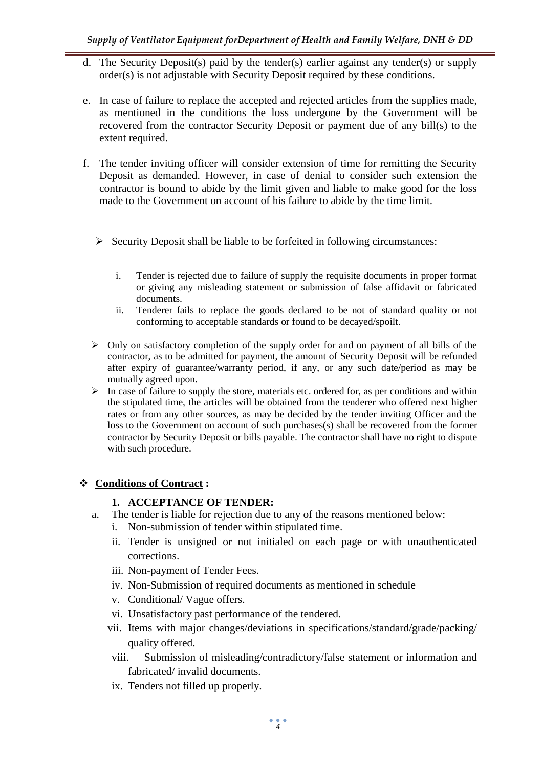- d. The Security Deposit(s) paid by the tender(s) earlier against any tender(s) or supply order(s) is not adjustable with Security Deposit required by these conditions.
- e. In case of failure to replace the accepted and rejected articles from the supplies made, as mentioned in the conditions the loss undergone by the Government will be recovered from the contractor Security Deposit or payment due of any bill(s) to the extent required.
- f. The tender inviting officer will consider extension of time for remitting the Security Deposit as demanded. However, in case of denial to consider such extension the contractor is bound to abide by the limit given and liable to make good for the loss made to the Government on account of his failure to abide by the time limit.
	- $\triangleright$  Security Deposit shall be liable to be forfeited in following circumstances:
		- i. Tender is rejected due to failure of supply the requisite documents in proper format or giving any misleading statement or submission of false affidavit or fabricated documents.
		- ii. Tenderer fails to replace the goods declared to be not of standard quality or not conforming to acceptable standards or found to be decayed/spoilt.
	- $\triangleright$  Only on satisfactory completion of the supply order for and on payment of all bills of the contractor, as to be admitted for payment, the amount of Security Deposit will be refunded after expiry of guarantee/warranty period, if any, or any such date/period as may be mutually agreed upon.
	- $\triangleright$  In case of failure to supply the store, materials etc. ordered for, as per conditions and within the stipulated time, the articles will be obtained from the tenderer who offered next higher rates or from any other sources, as may be decided by the tender inviting Officer and the loss to the Government on account of such purchases(s) shall be recovered from the former contractor by Security Deposit or bills payable. The contractor shall have no right to dispute with such procedure.

## **Conditions of Contract :**

## **1. ACCEPTANCE OF TENDER:**

- a. The tender is liable for rejection due to any of the reasons mentioned below:
	- i. Non-submission of tender within stipulated time.
	- ii. Tender is unsigned or not initialed on each page or with unauthenticated corrections.
	- iii. Non-payment of Tender Fees.
	- iv. Non-Submission of required documents as mentioned in schedule
	- v. Conditional/ Vague offers.
	- vi. Unsatisfactory past performance of the tendered.
	- vii. Items with major changes/deviations in specifications/standard/grade/packing/ quality offered.
	- viii. Submission of misleading/contradictory/false statement or information and fabricated/ invalid documents.
	- ix. Tenders not filled up properly.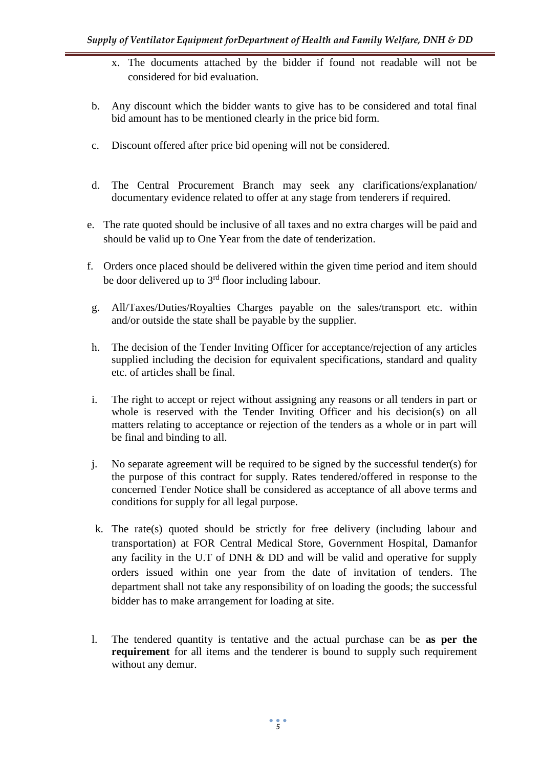- x. The documents attached by the bidder if found not readable will not be considered for bid evaluation.
- b. Any discount which the bidder wants to give has to be considered and total final bid amount has to be mentioned clearly in the price bid form.
- c. Discount offered after price bid opening will not be considered.
- d. The Central Procurement Branch may seek any clarifications/explanation/ documentary evidence related to offer at any stage from tenderers if required.
- e. The rate quoted should be inclusive of all taxes and no extra charges will be paid and should be valid up to One Year from the date of tenderization.
- f. Orders once placed should be delivered within the given time period and item should be door delivered up to  $3<sup>rd</sup>$  floor including labour.
- g. All/Taxes/Duties/Royalties Charges payable on the sales/transport etc. within and/or outside the state shall be payable by the supplier.
- h. The decision of the Tender Inviting Officer for acceptance/rejection of any articles supplied including the decision for equivalent specifications, standard and quality etc. of articles shall be final.
- i. The right to accept or reject without assigning any reasons or all tenders in part or whole is reserved with the Tender Inviting Officer and his decision(s) on all matters relating to acceptance or rejection of the tenders as a whole or in part will be final and binding to all.
- j. No separate agreement will be required to be signed by the successful tender(s) for the purpose of this contract for supply. Rates tendered/offered in response to the concerned Tender Notice shall be considered as acceptance of all above terms and conditions for supply for all legal purpose.
- k. The rate(s) quoted should be strictly for free delivery (including labour and transportation) at FOR Central Medical Store, Government Hospital, Damanfor any facility in the U.T of DNH  $\&$  DD and will be valid and operative for supply orders issued within one year from the date of invitation of tenders. The department shall not take any responsibility of on loading the goods; the successful bidder has to make arrangement for loading at site.
- l. The tendered quantity is tentative and the actual purchase can be **as per the requirement** for all items and the tenderer is bound to supply such requirement without any demur.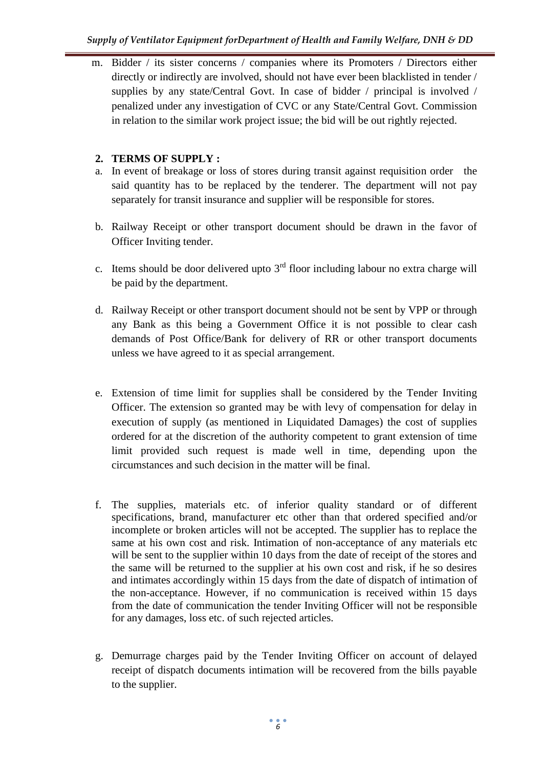m. Bidder / its sister concerns / companies where its Promoters / Directors either directly or indirectly are involved, should not have ever been blacklisted in tender / supplies by any state/Central Govt. In case of bidder / principal is involved / penalized under any investigation of CVC or any State/Central Govt. Commission in relation to the similar work project issue; the bid will be out rightly rejected.

# **2. TERMS OF SUPPLY :**

- a. In event of breakage or loss of stores during transit against requisition order the said quantity has to be replaced by the tenderer. The department will not pay separately for transit insurance and supplier will be responsible for stores.
- b. Railway Receipt or other transport document should be drawn in the favor of Officer Inviting tender.
- c. Items should be door delivered upto  $3<sup>rd</sup>$  floor including labour no extra charge will be paid by the department.
- d. Railway Receipt or other transport document should not be sent by VPP or through any Bank as this being a Government Office it is not possible to clear cash demands of Post Office/Bank for delivery of RR or other transport documents unless we have agreed to it as special arrangement.
- e. Extension of time limit for supplies shall be considered by the Tender Inviting Officer. The extension so granted may be with levy of compensation for delay in execution of supply (as mentioned in Liquidated Damages) the cost of supplies ordered for at the discretion of the authority competent to grant extension of time limit provided such request is made well in time, depending upon the circumstances and such decision in the matter will be final.
- f. The supplies, materials etc. of inferior quality standard or of different specifications, brand, manufacturer etc other than that ordered specified and/or incomplete or broken articles will not be accepted. The supplier has to replace the same at his own cost and risk. Intimation of non-acceptance of any materials etc will be sent to the supplier within 10 days from the date of receipt of the stores and the same will be returned to the supplier at his own cost and risk, if he so desires and intimates accordingly within 15 days from the date of dispatch of intimation of the non-acceptance. However, if no communication is received within 15 days from the date of communication the tender Inviting Officer will not be responsible for any damages, loss etc. of such rejected articles.
- g. Demurrage charges paid by the Tender Inviting Officer on account of delayed receipt of dispatch documents intimation will be recovered from the bills payable to the supplier.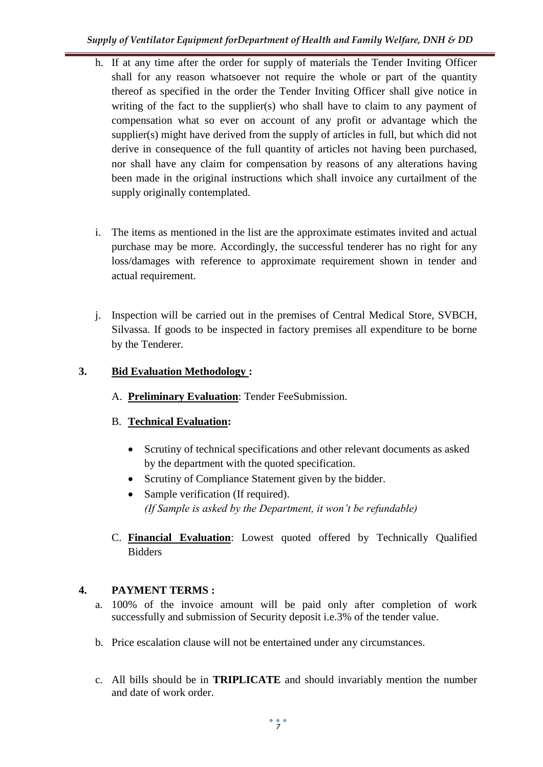- h. If at any time after the order for supply of materials the Tender Inviting Officer shall for any reason whatsoever not require the whole or part of the quantity thereof as specified in the order the Tender Inviting Officer shall give notice in writing of the fact to the supplier(s) who shall have to claim to any payment of compensation what so ever on account of any profit or advantage which the supplier(s) might have derived from the supply of articles in full, but which did not derive in consequence of the full quantity of articles not having been purchased, nor shall have any claim for compensation by reasons of any alterations having been made in the original instructions which shall invoice any curtailment of the supply originally contemplated.
- i. The items as mentioned in the list are the approximate estimates invited and actual purchase may be more. Accordingly, the successful tenderer has no right for any loss/damages with reference to approximate requirement shown in tender and actual requirement.
- j. Inspection will be carried out in the premises of Central Medical Store, SVBCH, Silvassa. If goods to be inspected in factory premises all expenditure to be borne by the Tenderer.

# **3. Bid Evaluation Methodology :**

A. **Preliminary Evaluation**: Tender FeeSubmission.

# B. **Technical Evaluation:**

- Scrutiny of technical specifications and other relevant documents as asked by the department with the quoted specification.
- Scrutiny of Compliance Statement given by the bidder.
- Sample verification (If required). *(If Sample is asked by the Department, it won't be refundable)*
- C. **Financial Evaluation**: Lowest quoted offered by Technically Qualified Bidders

# **4. PAYMENT TERMS :**

- a. 100% of the invoice amount will be paid only after completion of work successfully and submission of Security deposit i.e.3% of the tender value.
- b. Price escalation clause will not be entertained under any circumstances.
- c. All bills should be in **TRIPLICATE** and should invariably mention the number and date of work order.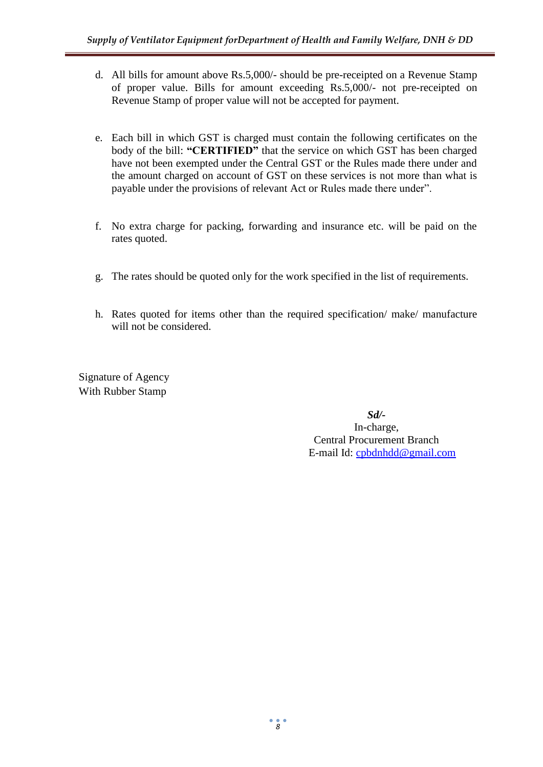- d. All bills for amount above Rs.5,000/- should be pre-receipted on a Revenue Stamp of proper value. Bills for amount exceeding Rs.5,000/- not pre-receipted on Revenue Stamp of proper value will not be accepted for payment.
- e. Each bill in which GST is charged must contain the following certificates on the body of the bill: **"CERTIFIED"** that the service on which GST has been charged have not been exempted under the Central GST or the Rules made there under and the amount charged on account of GST on these services is not more than what is payable under the provisions of relevant Act or Rules made there under".
- f. No extra charge for packing, forwarding and insurance etc. will be paid on the rates quoted.
- g. The rates should be quoted only for the work specified in the list of requirements.
- h. Rates quoted for items other than the required specification/ make/ manufacture will not be considered.

Signature of Agency With Rubber Stamp

> *Sd/-* In-charge, Central Procurement Branch E-mail Id: [cpbdnhdd@gmail.com](mailto:cpbdnhdd@gmail.com)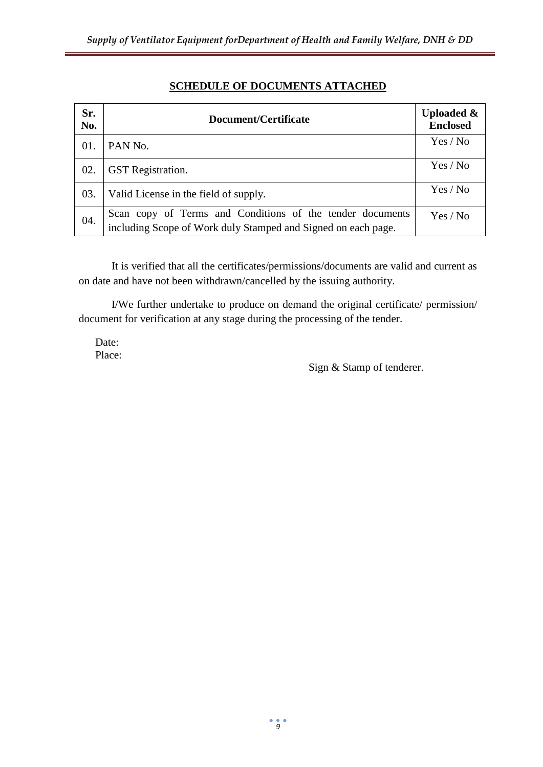| Sr.<br>No. | Document/Certificate                                                                                                       | <b>Uploaded &amp;</b><br><b>Enclosed</b> |
|------------|----------------------------------------------------------------------------------------------------------------------------|------------------------------------------|
| 01.        | PAN No.                                                                                                                    | Yes / No                                 |
| 02.        | <b>GST</b> Registration.                                                                                                   | Yes / No                                 |
| 03.        | Valid License in the field of supply.                                                                                      | Yes / No                                 |
| 04.        | Scan copy of Terms and Conditions of the tender documents<br>including Scope of Work duly Stamped and Signed on each page. | Yes / No                                 |

# **SCHEDULE OF DOCUMENTS ATTACHED**

It is verified that all the certificates/permissions/documents are valid and current as on date and have not been withdrawn/cancelled by the issuing authority.

I/We further undertake to produce on demand the original certificate/ permission/ document for verification at any stage during the processing of the tender.

Date: Place:

Sign & Stamp of tenderer.